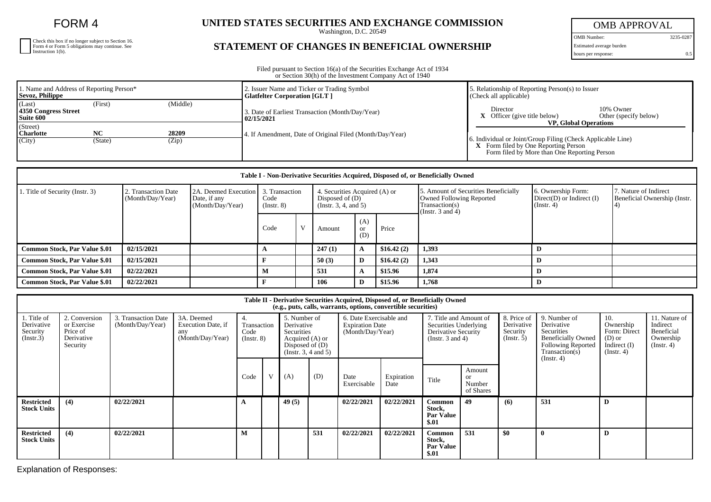FORM 4

| Check this box if no longer subject to Section 16. |
|----------------------------------------------------|
| Form 4 or Form 5 obligations may continue. See     |
| Instruction 1(b).                                  |

## UNITED STATES SECURITIES AND EXCHANGE COMMISSION

## **STATEMENT OF CHANGES IN BENEFICIAL OWNERSHIP**

OMB APPROVAL

OMB Number: 3235-0287 Estimated average burden

hours per response: 0.5

| Filed pursuant to Section 16(a) of the Securities Exchange Act of 1934 |
|------------------------------------------------------------------------|
| or Section 30(h) of the Investment Company Act of 1940                 |

| 1. Name and Address of Reporting Person*<br>Sevoz, Philippe               | 2. Issuer Name and Ticker or Trading Symbol<br><b>Glatfelter Corporation [GLT]</b> | 5. Relationship of Reporting Person(s) to Issuer<br>(Check all applicable)                                                                                                          |
|---------------------------------------------------------------------------|------------------------------------------------------------------------------------|-------------------------------------------------------------------------------------------------------------------------------------------------------------------------------------|
| (Middle)<br>(Last)<br>(First)<br>4350 Congress Street<br>Suite 600        | 3. Date of Earliest Transaction (Month/Day/Year)<br>02/15/2021                     | 10% Owner<br>Director<br>$X$ Officer (give title below)<br>Other (specify below)                                                                                                    |
| (Street)<br><b>Charlotte</b><br>28209<br>NC<br>(City)<br>(Zip)<br>(State) | 4. If Amendment, Date of Original Filed (Month/Day/Year)                           | <b>VP.</b> Global Operations<br>6. Individual or Joint/Group Filing (Check Applicable Line)<br>X Form filed by One Reporting Person<br>Form filed by More than One Reporting Person |

| Table I - Non-Derivative Securities Acquired, Disposed of, or Beneficially Owned |                                         |                                                          |                                           |  |                                                                                 |                         |            |                                                                                                                    |                                                                    |                                                       |  |  |
|----------------------------------------------------------------------------------|-----------------------------------------|----------------------------------------------------------|-------------------------------------------|--|---------------------------------------------------------------------------------|-------------------------|------------|--------------------------------------------------------------------------------------------------------------------|--------------------------------------------------------------------|-------------------------------------------------------|--|--|
| 1. Title of Security (Instr. 3)                                                  | 2. Transaction Date<br>(Month/Day/Year) | 2A. Deemed Execution<br>Date, if any<br>(Month/Day/Year) | 3. Transaction<br>Code<br>$($ Instr. $8)$ |  | 4. Securities Acquired (A) or<br>Disposed of $(D)$<br>(Instr. $3, 4,$ and $5$ ) |                         |            | 5. Amount of Securities Beneficially<br><b>Owned Following Reported</b><br>Transaction(s)<br>(Instr. $3$ and $4$ ) | 6. Ownership Form:<br>$Direct(D)$ or Indirect $(I)$<br>(Insert. 4) | 7. Nature of Indirect<br>Beneficial Ownership (Instr. |  |  |
|                                                                                  |                                         |                                                          | Code                                      |  | Amount                                                                          | (A)<br><b>or</b><br>(D) | Price      |                                                                                                                    |                                                                    |                                                       |  |  |
| <b>Common Stock, Par Value \$.01</b>                                             | 02/15/2021                              |                                                          |                                           |  | 247(1)                                                                          |                         | \$16.42(2) | 1,393                                                                                                              |                                                                    |                                                       |  |  |
| Common Stock, Par Value \$.01                                                    | 02/15/2021                              |                                                          |                                           |  | 50(3)                                                                           | D                       | \$16.42(2) | 1.343                                                                                                              |                                                                    |                                                       |  |  |
| <b>Common Stock, Par Value \$.01</b>                                             | 02/22/2021                              |                                                          | M                                         |  | 531                                                                             |                         | \$15.96    | 1,874                                                                                                              |                                                                    |                                                       |  |  |
| <b>Common Stock, Par Value \$.01</b>                                             | 02/22/2021                              |                                                          |                                           |  | 106                                                                             | D                       | \$15.96    | 1.768                                                                                                              |                                                                    |                                                       |  |  |

| Table II - Derivative Securities Acquired, Disposed of, or Beneficially Owned<br>(e.g., puts, calls, warrants, options, convertible securities) |                                                                    |                                         |                                                             |                                         |   |                                                                                                          |     |                                                                       |                    |                                                                                                 |                                      |                                                      |                                                                                                                                    |                                                                                    |                                                                          |
|-------------------------------------------------------------------------------------------------------------------------------------------------|--------------------------------------------------------------------|-----------------------------------------|-------------------------------------------------------------|-----------------------------------------|---|----------------------------------------------------------------------------------------------------------|-----|-----------------------------------------------------------------------|--------------------|-------------------------------------------------------------------------------------------------|--------------------------------------|------------------------------------------------------|------------------------------------------------------------------------------------------------------------------------------------|------------------------------------------------------------------------------------|--------------------------------------------------------------------------|
| 1. Title of<br>Derivative<br>Security<br>(Insert.3)                                                                                             | 2. Conversion<br>or Exercise<br>Price of<br>Derivative<br>Security | 3. Transaction Date<br>(Month/Day/Year) | 3A. Deemed<br>Execution Date, if<br>any<br>(Month/Day/Year) | 4.<br>Transaction<br>Code<br>(Insert 8) |   | 5. Number of<br>Derivative<br>Securities<br>Acquired (A) or<br>Disposed of $(D)$<br>(Insert. 3, 4 and 5) |     | 6. Date Exercisable and<br><b>Expiration Date</b><br>(Month/Day/Year) |                    | 7. Title and Amount of<br>Securities Underlying<br>Derivative Security<br>(Instr. $3$ and $4$ ) |                                      | 8. Price of<br>Derivative<br>Security<br>(Insert. 5) | 9. Number of<br>Derivative<br>Securities<br><b>Beneficially Owned</b><br><b>Following Reported</b><br>Transaction(s)<br>(Instr. 4) | 10.<br>Ownership<br>Form: Direct<br>$(D)$ or<br>Indirect $(I)$<br>$($ Instr. 4 $)$ | 11. Nature of<br>Indirect<br>Beneficial<br>Ownership<br>$($ Instr. 4 $)$ |
|                                                                                                                                                 |                                                                    |                                         |                                                             | Code                                    | V | (A)                                                                                                      | (D) | Date<br>Exercisable                                                   | Expiration<br>Date | Title                                                                                           | Amount<br>or.<br>Number<br>of Shares |                                                      |                                                                                                                                    |                                                                                    |                                                                          |
| <b>Restricted</b><br><b>Stock Units</b>                                                                                                         | (4)                                                                | 02/22/2021                              |                                                             |                                         |   | 49(5)                                                                                                    |     | 02/22/2021                                                            | 02/22/2021         | Common<br>Stock,<br><b>Par Value</b><br>\$.01                                                   | 49                                   | (6)                                                  | 531                                                                                                                                | D                                                                                  |                                                                          |
| <b>Restricted</b><br><b>Stock Units</b>                                                                                                         | (4)                                                                | 02/22/2021                              |                                                             | М                                       |   |                                                                                                          | 531 | 02/22/2021                                                            | 02/22/2021         | Common<br>Stock,<br><b>Par Value</b><br>\$.01                                                   | 531                                  | \$0                                                  | $\mathbf{0}$                                                                                                                       | D                                                                                  |                                                                          |

Explanation of Responses: